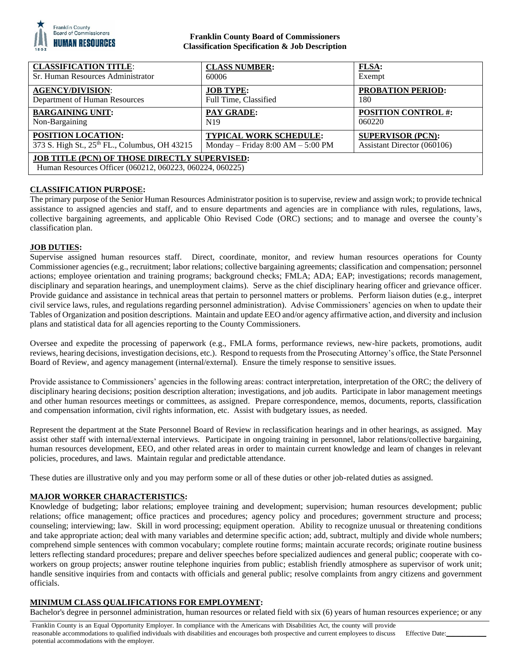

# **Franklin County Board of Commissioners Classification Specification & Job Description**

| <b>CLASSIFICATION TITLE:</b>                                                                              | <b>CLASS NUMBER:</b>                | FLSA:                       |
|-----------------------------------------------------------------------------------------------------------|-------------------------------------|-----------------------------|
| Sr. Human Resources Administrator                                                                         | 60006                               | Exempt                      |
| <b>AGENCY/DIVISION:</b>                                                                                   | <b>JOB TYPE:</b>                    | <b>PROBATION PERIOD:</b>    |
| Department of Human Resources                                                                             | Full Time, Classified               | 180                         |
| <b>BARGAINING UNIT:</b>                                                                                   | PAY GRADE:                          | <b>POSITION CONTROL #:</b>  |
| Non-Bargaining                                                                                            | N <sub>19</sub>                     | 060220                      |
| POSITION LOCATION:                                                                                        | <b>TYPICAL WORK SCHEDULE:</b>       | <b>SUPERVISOR (PCN):</b>    |
| 373 S. High St., 25th FL., Columbus, OH 43215                                                             | Monday – Friday $8:00 AM - 5:00 PM$ | Assistant Director (060106) |
| JOB TITLE (PCN) OF THOSE DIRECTLY SUPERVISED:<br>Human Resources Officer (060212, 060223, 060224, 060225) |                                     |                             |

# **CLASSIFICATION PURPOSE:**

The primary purpose of the Senior Human Resources Administrator position is to supervise, review and assign work; to provide technical assistance to assigned agencies and staff, and to ensure departments and agencies are in compliance with rules, regulations, laws, collective bargaining agreements, and applicable Ohio Revised Code (ORC) sections; and to manage and oversee the county's classification plan.

## **JOB DUTIES:**

Supervise assigned human resources staff. Direct, coordinate, monitor, and review human resources operations for County Commissioner agencies (e.g., recruitment; labor relations; collective bargaining agreements; classification and compensation; personnel actions; employee orientation and training programs; background checks; FMLA; ADA; EAP; investigations; records management, disciplinary and separation hearings, and unemployment claims). Serve as the chief disciplinary hearing officer and grievance officer. Provide guidance and assistance in technical areas that pertain to personnel matters or problems. Perform liaison duties (e.g., interpret civil service laws, rules, and regulations regarding personnel administration). Advise Commissioners' agencies on when to update their Tables of Organization and position descriptions. Maintain and update EEO and/or agency affirmative action, and diversity and inclusion plans and statistical data for all agencies reporting to the County Commissioners.

Oversee and expedite the processing of paperwork (e.g., FMLA forms, performance reviews, new-hire packets, promotions, audit reviews, hearing decisions, investigation decisions, etc.). Respond to requests from the Prosecuting Attorney's office, the State Personnel Board of Review, and agency management (internal/external). Ensure the timely response to sensitive issues.

Provide assistance to Commissioners' agencies in the following areas: contract interpretation, interpretation of the ORC; the delivery of disciplinary hearing decisions; position description alteration; investigations, and job audits. Participate in labor management meetings and other human resources meetings or committees, as assigned. Prepare correspondence, memos, documents, reports, classification and compensation information, civil rights information, etc. Assist with budgetary issues, as needed.

Represent the department at the State Personnel Board of Review in reclassification hearings and in other hearings, as assigned. May assist other staff with internal/external interviews. Participate in ongoing training in personnel, labor relations/collective bargaining, human resources development, EEO, and other related areas in order to maintain current knowledge and learn of changes in relevant policies, procedures, and laws. Maintain regular and predictable attendance.

These duties are illustrative only and you may perform some or all of these duties or other job-related duties as assigned.

## **MAJOR WORKER CHARACTERISTICS:**

Knowledge of budgeting; labor relations; employee training and development; supervision; human resources development; public relations; office management; office practices and procedures; agency policy and procedures; government structure and process; counseling; interviewing; law. Skill in word processing; equipment operation. Ability to recognize unusual or threatening conditions and take appropriate action; deal with many variables and determine specific action; add, subtract, multiply and divide whole numbers; comprehend simple sentences with common vocabulary; complete routine forms; maintain accurate records; originate routine business letters reflecting standard procedures; prepare and deliver speeches before specialized audiences and general public; cooperate with coworkers on group projects; answer routine telephone inquiries from public; establish friendly atmosphere as supervisor of work unit; handle sensitive inquiries from and contacts with officials and general public; resolve complaints from angry citizens and government officials.

## **MINIMUM CLASS QUALIFICATIONS FOR EMPLOYMENT:**

Bachelor's degree in personnel administration, human resources or related field with six (6) years of human resources experience; or any